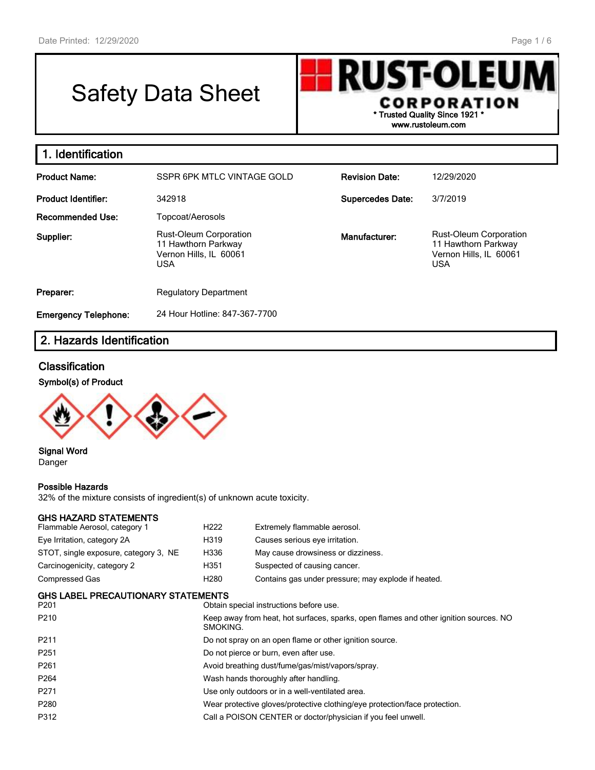г

# Safety Data Sheet

**RUST-OLEU** CORPORATION **\* Trusted Quality Since 1921 \* www.rustoleum.com**

| 1. Identification                                                                                         |                               |                         |                                                                                              |  |  |  |  |
|-----------------------------------------------------------------------------------------------------------|-------------------------------|-------------------------|----------------------------------------------------------------------------------------------|--|--|--|--|
| <b>Product Name:</b>                                                                                      | SSPR 6PK MTLC VINTAGE GOLD    | <b>Revision Date:</b>   | 12/29/2020                                                                                   |  |  |  |  |
| <b>Product Identifier:</b>                                                                                | 342918                        | <b>Supercedes Date:</b> | 3/7/2019                                                                                     |  |  |  |  |
| <b>Recommended Use:</b>                                                                                   | Topcoat/Aerosols              |                         |                                                                                              |  |  |  |  |
| <b>Rust-Oleum Corporation</b><br>Supplier:<br>11 Hawthorn Parkway<br>Vernon Hills, IL 60061<br><b>USA</b> |                               | Manufacturer:           | <b>Rust-Oleum Corporation</b><br>11 Hawthorn Parkway<br>Vernon Hills, IL 60061<br><b>USA</b> |  |  |  |  |
| Preparer:                                                                                                 | <b>Regulatory Department</b>  |                         |                                                                                              |  |  |  |  |
| <b>Emergency Telephone:</b>                                                                               | 24 Hour Hotline: 847-367-7700 |                         |                                                                                              |  |  |  |  |

# **2. Hazards Identification**

#### **Classification**

#### **Symbol(s) of Product**



**Signal Word** Danger

#### **Possible Hazards**

32% of the mixture consists of ingredient(s) of unknown acute toxicity.

#### **GHS HAZARD STATEMENTS**

| Flammable Aerosol, category 1                     | H <sub>222</sub><br>Extremely flammable aerosol.                                                  |                                                              |  |
|---------------------------------------------------|---------------------------------------------------------------------------------------------------|--------------------------------------------------------------|--|
| Eye Irritation, category 2A                       | H319                                                                                              | Causes serious eye irritation.                               |  |
| STOT, single exposure, category 3, NE             | H336                                                                                              | May cause drowsiness or dizziness.                           |  |
| Carcinogenicity, category 2                       | H351                                                                                              | Suspected of causing cancer.                                 |  |
| Compressed Gas                                    | H280                                                                                              | Contains gas under pressure; may explode if heated.          |  |
| <b>GHS LABEL PRECAUTIONARY STATEMENTS</b><br>P201 |                                                                                                   | Obtain special instructions before use.                      |  |
| P210                                              | Keep away from heat, hot surfaces, sparks, open flames and other ignition sources. NO<br>SMOKING. |                                                              |  |
| P211                                              | Do not spray on an open flame or other ignition source.                                           |                                                              |  |
| P251                                              | Do not pierce or burn, even after use.                                                            |                                                              |  |
| P261                                              | Avoid breathing dust/fume/gas/mist/vapors/spray.                                                  |                                                              |  |
| P <sub>264</sub>                                  | Wash hands thoroughly after handling.                                                             |                                                              |  |
| P271                                              | Use only outdoors or in a well-ventilated area.                                                   |                                                              |  |
| P280                                              | Wear protective gloves/protective clothing/eye protection/face protection.                        |                                                              |  |
| P312                                              |                                                                                                   | Call a POISON CENTER or doctor/physician if you feel unwell. |  |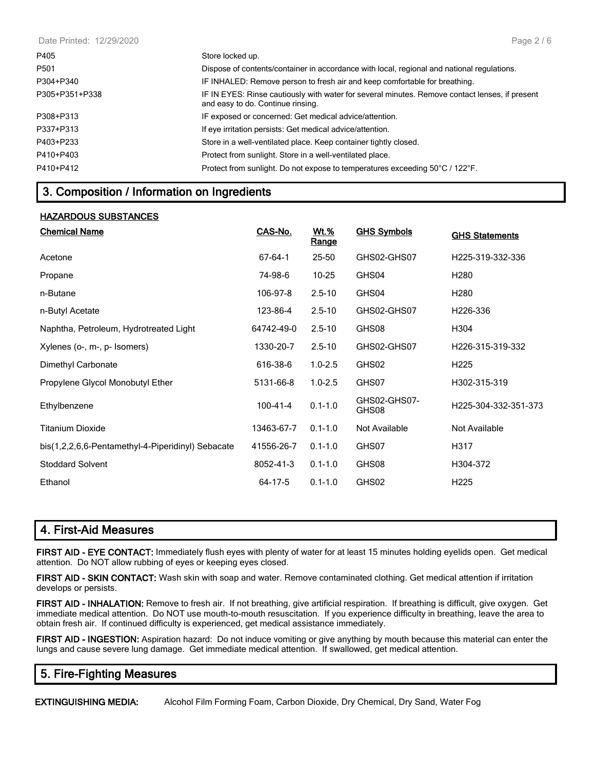| Date Printed: 12/29/2020 | Page $2/6$                                                                                                                          |
|--------------------------|-------------------------------------------------------------------------------------------------------------------------------------|
| P405                     | Store locked up.                                                                                                                    |
| P <sub>501</sub>         | Dispose of contents/container in accordance with local, regional and national regulations.                                          |
| P304+P340                | IF INHALED: Remove person to fresh air and keep comfortable for breathing.                                                          |
| P305+P351+P338           | IF IN EYES: Rinse cautiously with water for several minutes. Remove contact lenses, if present<br>and easy to do. Continue rinsing. |
| P308+P313                | IF exposed or concerned: Get medical advice/attention.                                                                              |
| P337+P313                | If eye irritation persists: Get medical advice/attention.                                                                           |
| P403+P233                | Store in a well-ventilated place. Keep container tightly closed.                                                                    |
| P410+P403                | Protect from sunlight. Store in a well-ventilated place.                                                                            |
| P410+P412                | Protect from sunlight. Do not expose to temperatures exceeding 50°C / 122°F.                                                        |
|                          |                                                                                                                                     |

## **3. Composition / Information on Ingredients**

#### **HAZARDOUS SUBSTANCES**

| <b>Chemical Name</b>                              | CAS-No.        | <u>Wt.%</u><br>Range | <b>GHS Symbols</b>    | <b>GHS Statements</b> |
|---------------------------------------------------|----------------|----------------------|-----------------------|-----------------------|
| Acetone                                           | 67-64-1        | 25-50                | GHS02-GHS07           | H225-319-332-336      |
| Propane                                           | 74-98-6        | $10 - 25$            | GHS04                 | H <sub>280</sub>      |
| n-Butane                                          | 106-97-8       | $2.5 - 10$           | GHS04                 | H <sub>280</sub>      |
| n-Butyl Acetate                                   | 123-86-4       | $2.5 - 10$           | GHS02-GHS07           | H226-336              |
| Naphtha, Petroleum, Hydrotreated Light            | 64742-49-0     | $2.5 - 10$           | GHS08                 | H304                  |
| Xylenes (o-, m-, p- Isomers)                      | 1330-20-7      | $2.5 - 10$           | GHS02-GHS07           | H226-315-319-332      |
| Dimethyl Carbonate                                | 616-38-6       | $1.0 - 2.5$          | GHS02                 | H <sub>225</sub>      |
| Propylene Glycol Monobutyl Ether                  | 5131-66-8      | $1.0 - 2.5$          | GHS07                 | H302-315-319          |
| Ethylbenzene                                      | $100 - 41 - 4$ | $0.1 - 1.0$          | GHS02-GHS07-<br>GHS08 | H225-304-332-351-373  |
| <b>Titanium Dioxide</b>                           | 13463-67-7     | $0.1 - 1.0$          | Not Available         | Not Available         |
| bis(1,2,2,6,6-Pentamethyl-4-Piperidinyl) Sebacate | 41556-26-7     | $0.1 - 1.0$          | GHS07                 | H317                  |
| <b>Stoddard Solvent</b>                           | 8052-41-3      | $0.1 - 1.0$          | GHS08                 | H304-372              |
| Ethanol                                           | 64-17-5        | $0.1 - 1.0$          | GHS02                 | H <sub>225</sub>      |

### **4. First-Aid Measures**

**FIRST AID - EYE CONTACT:** Immediately flush eyes with plenty of water for at least 15 minutes holding eyelids open. Get medical attention. Do NOT allow rubbing of eyes or keeping eyes closed.

**FIRST AID - SKIN CONTACT:** Wash skin with soap and water. Remove contaminated clothing. Get medical attention if irritation develops or persists.

**FIRST AID - INHALATION:** Remove to fresh air. If not breathing, give artificial respiration. If breathing is difficult, give oxygen. Get immediate medical attention. Do NOT use mouth-to-mouth resuscitation. If you experience difficulty in breathing, leave the area to obtain fresh air. If continued difficulty is experienced, get medical assistance immediately.

**FIRST AID - INGESTION:** Aspiration hazard: Do not induce vomiting or give anything by mouth because this material can enter the lungs and cause severe lung damage. Get immediate medical attention. If swallowed, get medical attention.

# **5. Fire-Fighting Measures**

**EXTINGUISHING MEDIA:** Alcohol Film Forming Foam, Carbon Dioxide, Dry Chemical, Dry Sand, Water Fog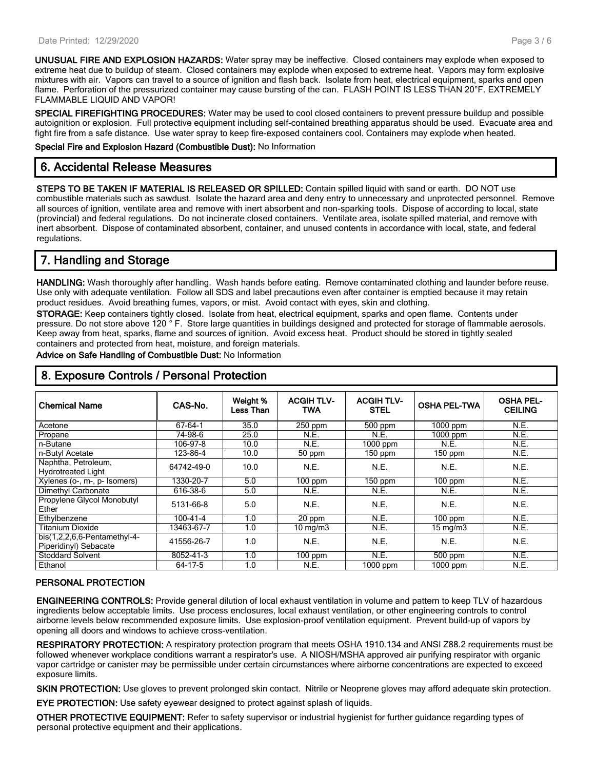**UNUSUAL FIRE AND EXPLOSION HAZARDS:** Water spray may be ineffective. Closed containers may explode when exposed to extreme heat due to buildup of steam. Closed containers may explode when exposed to extreme heat. Vapors may form explosive mixtures with air. Vapors can travel to a source of ignition and flash back. Isolate from heat, electrical equipment, sparks and open flame. Perforation of the pressurized container may cause bursting of the can. FLASH POINT IS LESS THAN 20°F. EXTREMELY FLAMMABLE LIQUID AND VAPOR!

**SPECIAL FIREFIGHTING PROCEDURES:** Water may be used to cool closed containers to prevent pressure buildup and possible autoignition or explosion. Full protective equipment including self-contained breathing apparatus should be used. Evacuate area and fight fire from a safe distance. Use water spray to keep fire-exposed containers cool. Containers may explode when heated.

**Special Fire and Explosion Hazard (Combustible Dust):** No Information

### **6. Accidental Release Measures**

**STEPS TO BE TAKEN IF MATERIAL IS RELEASED OR SPILLED:** Contain spilled liquid with sand or earth. DO NOT use combustible materials such as sawdust. Isolate the hazard area and deny entry to unnecessary and unprotected personnel. Remove all sources of ignition, ventilate area and remove with inert absorbent and non-sparking tools. Dispose of according to local, state (provincial) and federal regulations. Do not incinerate closed containers. Ventilate area, isolate spilled material, and remove with inert absorbent. Dispose of contaminated absorbent, container, and unused contents in accordance with local, state, and federal regulations.

# **7. Handling and Storage**

**HANDLING:** Wash thoroughly after handling. Wash hands before eating. Remove contaminated clothing and launder before reuse. Use only with adequate ventilation. Follow all SDS and label precautions even after container is emptied because it may retain product residues. Avoid breathing fumes, vapors, or mist. Avoid contact with eyes, skin and clothing.

**STORAGE:** Keep containers tightly closed. Isolate from heat, electrical equipment, sparks and open flame. Contents under pressure. Do not store above 120 ° F. Store large quantities in buildings designed and protected for storage of flammable aerosols. Keep away from heat, sparks, flame and sources of ignition. Avoid excess heat. Product should be stored in tightly sealed containers and protected from heat, moisture, and foreign materials.

**Advice on Safe Handling of Combustible Dust:** No Information

| <b>Chemical Name</b>                               | CAS-No.    | Weight %<br>Less Than | <b>ACGIH TLV-</b><br>TWA | <b>ACGIH TLV-</b><br><b>STEL</b> | <b>OSHA PEL-TWA</b> | <b>OSHA PEL-</b><br><b>CEILING</b> |
|----------------------------------------------------|------------|-----------------------|--------------------------|----------------------------------|---------------------|------------------------------------|
| Acetone                                            | 67-64-1    | 35.0                  | $250$ ppm                | 500 ppm                          | $1000$ ppm          | N.E.                               |
| Propane                                            | 74-98-6    | 25.0                  | N.E.                     | N.E.                             | $1000$ ppm          | N.E.                               |
| n-Butane                                           | 106-97-8   | 10.0                  | N.E.                     | $1000$ ppm                       | N.E.                | N.E.                               |
| n-Butyl Acetate                                    | 123-86-4   | 10.0                  | 50 ppm                   | $150$ ppm                        | $150$ ppm           | N.E.                               |
| Naphtha, Petroleum,<br><b>Hydrotreated Light</b>   | 64742-49-0 | 10.0                  | N.E.                     | N.E.                             | N.E.                | N.E.                               |
| Xylenes (o-, m-, p- Isomers)                       | 1330-20-7  | 5.0                   | $100$ ppm                | $150$ ppm                        | $100$ ppm           | N.E.                               |
| Dimethyl Carbonate                                 | 616-38-6   | 5.0                   | N.E.                     | N.E.                             | N.E.                | N.E.                               |
| Propylene Glycol Monobutyl<br>Ether                | 5131-66-8  | 5.0                   | N.E.                     | N.E.                             | N.E.                | N.E.                               |
| Ethylbenzene                                       | 100-41-4   | 1.0                   | 20 ppm                   | N.E.                             | $100$ ppm           | N.E.                               |
| Titanium Dioxide                                   | 13463-67-7 | 1.0                   | $10 \text{ mg/m}$        | N.E.                             | $15 \text{ mg/m}$   | N.E.                               |
| $bis(1,2,2,6,6-Pentament$<br>Piperidinyl) Sebacate | 41556-26-7 | 1.0                   | N.E.                     | N.E.                             | N.E.                | N.E.                               |
| <b>Stoddard Solvent</b>                            | 8052-41-3  | 1.0                   | $100$ ppm                | N.E.                             | $500$ ppm           | N.E.                               |
| Ethanol                                            | 64-17-5    | 1.0                   | N.E.                     | 1000 ppm                         | 1000 ppm            | N.E.                               |

# **8. Exposure Controls / Personal Protection**

#### **PERSONAL PROTECTION**

**ENGINEERING CONTROLS:** Provide general dilution of local exhaust ventilation in volume and pattern to keep TLV of hazardous ingredients below acceptable limits. Use process enclosures, local exhaust ventilation, or other engineering controls to control airborne levels below recommended exposure limits. Use explosion-proof ventilation equipment. Prevent build-up of vapors by opening all doors and windows to achieve cross-ventilation.

**RESPIRATORY PROTECTION:** A respiratory protection program that meets OSHA 1910.134 and ANSI Z88.2 requirements must be followed whenever workplace conditions warrant a respirator's use. A NIOSH/MSHA approved air purifying respirator with organic vapor cartridge or canister may be permissible under certain circumstances where airborne concentrations are expected to exceed exposure limits.

**SKIN PROTECTION:** Use gloves to prevent prolonged skin contact. Nitrile or Neoprene gloves may afford adequate skin protection.

**EYE PROTECTION:** Use safety eyewear designed to protect against splash of liquids.

**OTHER PROTECTIVE EQUIPMENT:** Refer to safety supervisor or industrial hygienist for further guidance regarding types of personal protective equipment and their applications.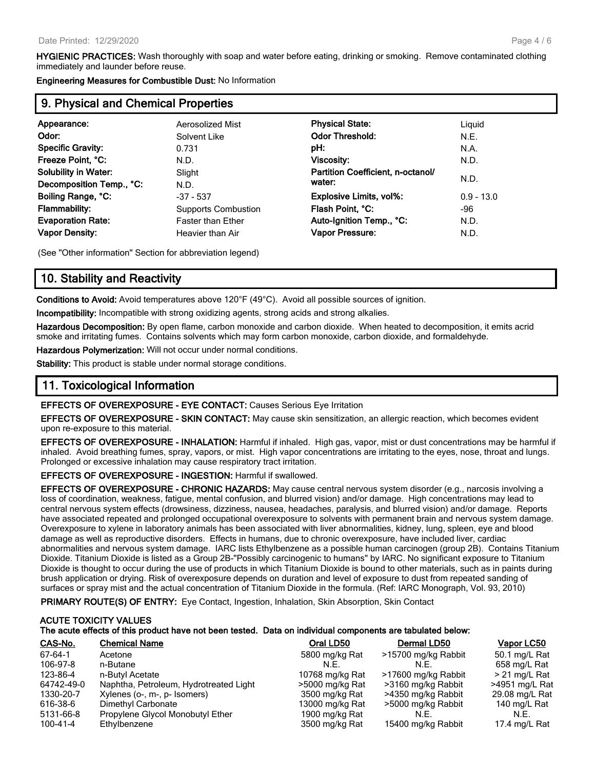**HYGIENIC PRACTICES:** Wash thoroughly with soap and water before eating, drinking or smoking. Remove contaminated clothing immediately and launder before reuse.

**Engineering Measures for Combustible Dust:** No Information

#### **9. Physical and Chemical Properties**

| Appearance:                 | Aerosolized Mist           | <b>Physical State:</b>            | Liguid       |
|-----------------------------|----------------------------|-----------------------------------|--------------|
| Odor:                       | Solvent Like               | <b>Odor Threshold:</b>            | N.E.         |
| <b>Specific Gravity:</b>    | 0.731                      | pH:                               | N.A.         |
| Freeze Point, °C:           | N.D.                       | Viscosity:                        | N.D.         |
| <b>Solubility in Water:</b> | Slight                     | Partition Coefficient, n-octanol/ |              |
| Decomposition Temp., °C:    | N.D.                       | water:                            | N.D.         |
| Boiling Range, °C:          | $-37 - 537$                | Explosive Limits, vol%:           | $0.9 - 13.0$ |
| <b>Flammability:</b>        | <b>Supports Combustion</b> | Flash Point, °C:                  | -96          |
| <b>Evaporation Rate:</b>    | <b>Faster than Ether</b>   | Auto-Ignition Temp., °C:          | N.D.         |
| <b>Vapor Density:</b>       | Heavier than Air           | <b>Vapor Pressure:</b>            | N.D.         |
|                             |                            |                                   |              |

(See "Other information" Section for abbreviation legend)

#### **10. Stability and Reactivity**

**Conditions to Avoid:** Avoid temperatures above 120°F (49°C). Avoid all possible sources of ignition.

**Incompatibility:** Incompatible with strong oxidizing agents, strong acids and strong alkalies.

**Hazardous Decomposition:** By open flame, carbon monoxide and carbon dioxide. When heated to decomposition, it emits acrid smoke and irritating fumes. Contains solvents which may form carbon monoxide, carbon dioxide, and formaldehyde.

**Hazardous Polymerization:** Will not occur under normal conditions.

**Stability:** This product is stable under normal storage conditions.

### **11. Toxicological Information**

**EFFECTS OF OVEREXPOSURE - EYE CONTACT:** Causes Serious Eye Irritation

**EFFECTS OF OVEREXPOSURE - SKIN CONTACT:** May cause skin sensitization, an allergic reaction, which becomes evident upon re-exposure to this material.

**EFFECTS OF OVEREXPOSURE - INHALATION:** Harmful if inhaled. High gas, vapor, mist or dust concentrations may be harmful if inhaled. Avoid breathing fumes, spray, vapors, or mist. High vapor concentrations are irritating to the eyes, nose, throat and lungs. Prolonged or excessive inhalation may cause respiratory tract irritation.

**EFFECTS OF OVEREXPOSURE - INGESTION:** Harmful if swallowed.

**EFFECTS OF OVEREXPOSURE - CHRONIC HAZARDS:** May cause central nervous system disorder (e.g., narcosis involving a loss of coordination, weakness, fatigue, mental confusion, and blurred vision) and/or damage. High concentrations may lead to central nervous system effects (drowsiness, dizziness, nausea, headaches, paralysis, and blurred vision) and/or damage. Reports have associated repeated and prolonged occupational overexposure to solvents with permanent brain and nervous system damage. Overexposure to xylene in laboratory animals has been associated with liver abnormalities, kidney, lung, spleen, eye and blood damage as well as reproductive disorders. Effects in humans, due to chronic overexposure, have included liver, cardiac abnormalities and nervous system damage. IARC lists Ethylbenzene as a possible human carcinogen (group 2B). Contains Titanium Dioxide. Titanium Dioxide is listed as a Group 2B-"Possibly carcinogenic to humans" by IARC. No significant exposure to Titanium Dioxide is thought to occur during the use of products in which Titanium Dioxide is bound to other materials, such as in paints during brush application or drying. Risk of overexposure depends on duration and level of exposure to dust from repeated sanding of surfaces or spray mist and the actual concentration of Titanium Dioxide in the formula. (Ref: IARC Monograph, Vol. 93, 2010)

**PRIMARY ROUTE(S) OF ENTRY:** Eye Contact, Ingestion, Inhalation, Skin Absorption, Skin Contact

# **ACUTE TOXICITY VALUES The acute effects of this product have not been tested. Data on individual components are tabulated below:**

| CAS-No.    | <b>Chemical Name</b>                   | Oral LD50       | Dermal LD50         | Vapor LC50      |
|------------|----------------------------------------|-----------------|---------------------|-----------------|
| 67-64-1    | Acetone                                | 5800 mg/kg Rat  | >15700 mg/kg Rabbit | 50.1 mg/L Rat   |
| 106-97-8   | n-Butane                               | N.E.            | N.E.                | 658 mg/L Rat    |
| 123-86-4   | n-Butyl Acetate                        | 10768 mg/kg Rat | >17600 mg/kg Rabbit | $>$ 21 mg/L Rat |
| 64742-49-0 | Naphtha, Petroleum, Hydrotreated Light | >5000 mg/kg Rat | >3160 mg/kg Rabbit  | >4951 mg/L Rat  |
| 1330-20-7  | Xylenes (o-, m-, p- Isomers)           | 3500 mg/kg Rat  | >4350 mg/kg Rabbit  | 29.08 mg/L Rat  |
| 616-38-6   | Dimethyl Carbonate                     | 13000 mg/kg Rat | >5000 mg/kg Rabbit  | 140 mg/L Rat    |
| 5131-66-8  | Propylene Glycol Monobutyl Ether       | 1900 mg/kg Rat  | N.E.                | N.E.            |
| 100-41-4   | Ethylbenzene                           | 3500 mg/kg Rat  | 15400 mg/kg Rabbit  | 17.4 mg/L Rat   |
|            |                                        |                 |                     |                 |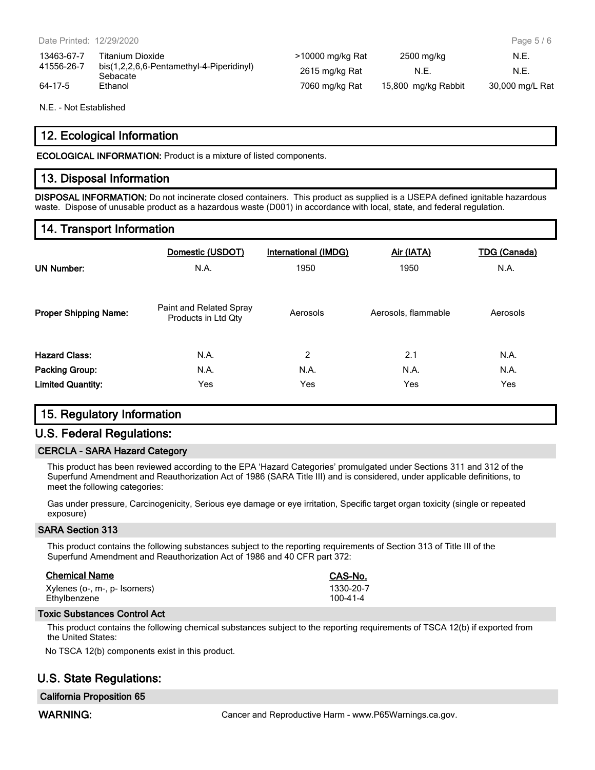| 13463-67-7    | Titanium Dioxide                                     | >10000 mg/kg Rat | 2500 mg/kg          | N.E.            |
|---------------|------------------------------------------------------|------------------|---------------------|-----------------|
| 41556-26-7    | bis(1,2,2,6,6-Pentamethyl-4-Piperidinyl)<br>Sebacate | 2615 mg/kg Rat   | N.E.                | N.E             |
| $64 - 17 - 5$ | Ethanol                                              | 7060 mg/kg Rat   | 15,800 mg/kg Rabbit | 30,000 mg/L Rat |

N.E. - Not Established

### **12. Ecological Information**

**ECOLOGICAL INFORMATION:** Product is a mixture of listed components.

#### **13. Disposal Information**

**DISPOSAL INFORMATION:** Do not incinerate closed containers. This product as supplied is a USEPA defined ignitable hazardous waste. Dispose of unusable product as a hazardous waste (D001) in accordance with local, state, and federal regulation.

#### **14. Transport Information**

| <b>UN Number:</b>            | Domestic (USDOT)<br>N.A.                       | <b>International (IMDG)</b><br>1950 | Air (IATA)<br>1950  | <b>TDG (Canada)</b><br>N.A. |
|------------------------------|------------------------------------------------|-------------------------------------|---------------------|-----------------------------|
| <b>Proper Shipping Name:</b> | Paint and Related Spray<br>Products in Ltd Qty | Aerosols                            | Aerosols, flammable | Aerosols                    |
| <b>Hazard Class:</b>         | N.A.                                           | 2                                   | 2.1                 | N.A.                        |
| <b>Packing Group:</b>        | N.A.                                           | N.A.                                | N.A.                | N.A.                        |
| <b>Limited Quantity:</b>     | Yes                                            | Yes                                 | Yes                 | Yes                         |

#### **15. Regulatory Information**

#### **U.S. Federal Regulations:**

#### **CERCLA - SARA Hazard Category**

This product has been reviewed according to the EPA 'Hazard Categories' promulgated under Sections 311 and 312 of the Superfund Amendment and Reauthorization Act of 1986 (SARA Title III) and is considered, under applicable definitions, to meet the following categories:

Gas under pressure, Carcinogenicity, Serious eye damage or eye irritation, Specific target organ toxicity (single or repeated exposure)

#### **SARA Section 313**

This product contains the following substances subject to the reporting requirements of Section 313 of Title III of the Superfund Amendment and Reauthorization Act of 1986 and 40 CFR part 372:

| <b>Chemical Name</b>         | CAS-No.   |  |  |
|------------------------------|-----------|--|--|
| Xylenes (o-, m-, p- Isomers) | 1330-20-7 |  |  |
| Ethylbenzene                 | 100-41-4  |  |  |

#### **Toxic Substances Control Act**

This product contains the following chemical substances subject to the reporting requirements of TSCA 12(b) if exported from the United States:

No TSCA 12(b) components exist in this product.

# **U.S. State Regulations:**

#### **California Proposition 65**

WARNING: **WARNING:** Cancer and Reproductive Harm - www.P65Warnings.ca.gov.